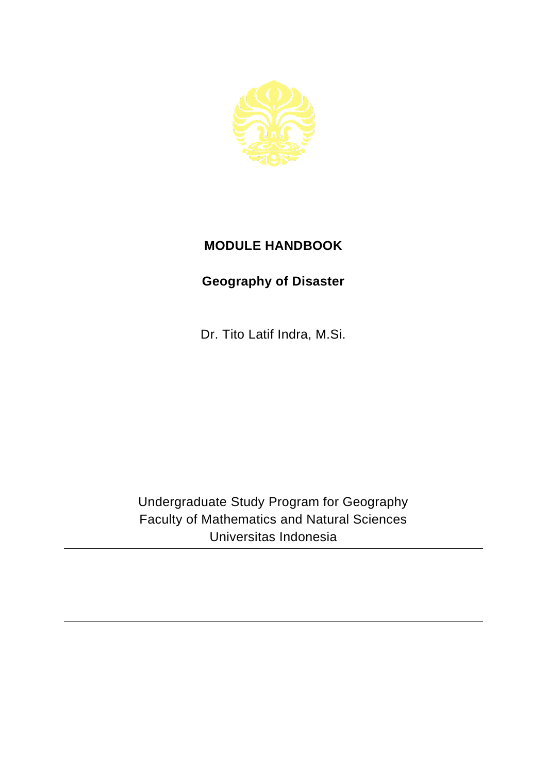

## **MODULE HANDBOOK**

## **Geography of Disaster**

Dr. Tito Latif Indra, M.Si.

Undergraduate Study Program for Geography Faculty of Mathematics and Natural Sciences Universitas Indonesia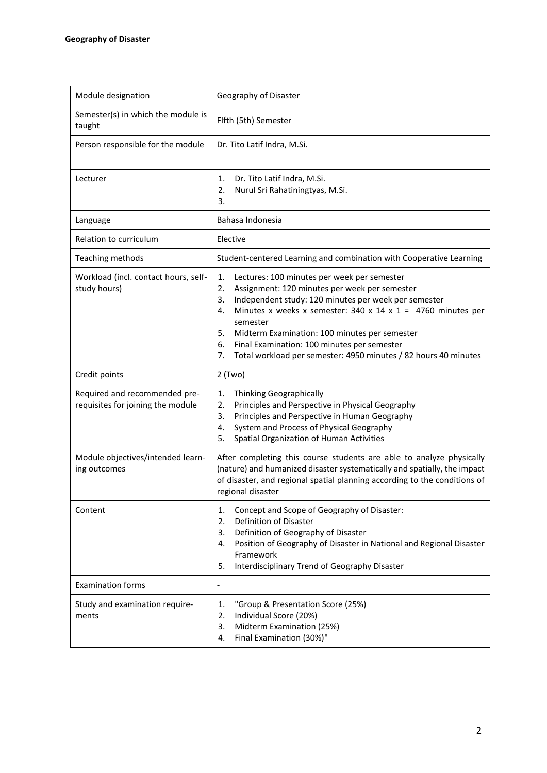| Module designation                                                 | Geography of Disaster                                                                                                                                                                                                                                                                                                                                                                                                                        |
|--------------------------------------------------------------------|----------------------------------------------------------------------------------------------------------------------------------------------------------------------------------------------------------------------------------------------------------------------------------------------------------------------------------------------------------------------------------------------------------------------------------------------|
| Semester(s) in which the module is<br>taught                       | Flfth (5th) Semester                                                                                                                                                                                                                                                                                                                                                                                                                         |
| Person responsible for the module                                  | Dr. Tito Latif Indra, M.Si.                                                                                                                                                                                                                                                                                                                                                                                                                  |
| Lecturer                                                           | Dr. Tito Latif Indra, M.Si.<br>1.<br>2.<br>Nurul Sri Rahatiningtyas, M.Si.<br>3.                                                                                                                                                                                                                                                                                                                                                             |
| Language                                                           | Bahasa Indonesia                                                                                                                                                                                                                                                                                                                                                                                                                             |
| Relation to curriculum                                             | Elective                                                                                                                                                                                                                                                                                                                                                                                                                                     |
| Teaching methods                                                   | Student-centered Learning and combination with Cooperative Learning                                                                                                                                                                                                                                                                                                                                                                          |
| Workload (incl. contact hours, self-<br>study hours)               | 1.<br>Lectures: 100 minutes per week per semester<br>2.<br>Assignment: 120 minutes per week per semester<br>Independent study: 120 minutes per week per semester<br>3.<br>Minutes x weeks x semester: 340 x 14 x 1 = 4760 minutes per<br>4.<br>semester<br>5.<br>Midterm Examination: 100 minutes per semester<br>6.<br>Final Examination: 100 minutes per semester<br>7.<br>Total workload per semester: 4950 minutes / 82 hours 40 minutes |
| Credit points                                                      | 2 (Two)                                                                                                                                                                                                                                                                                                                                                                                                                                      |
| Required and recommended pre-<br>requisites for joining the module | 1.<br>Thinking Geographically<br>2.<br>Principles and Perspective in Physical Geography<br>Principles and Perspective in Human Geography<br>3.<br>System and Process of Physical Geography<br>4.<br>Spatial Organization of Human Activities<br>5.                                                                                                                                                                                           |
| Module objectives/intended learn-<br>ing outcomes                  | After completing this course students are able to analyze physically<br>(nature) and humanized disaster systematically and spatially, the impact<br>of disaster, and regional spatial planning according to the conditions of<br>regional disaster                                                                                                                                                                                           |
| Content                                                            | Concept and Scope of Geography of Disaster:<br>1.<br>Definition of Disaster<br>2.<br>Definition of Geography of Disaster<br>3.<br>Position of Geography of Disaster in National and Regional Disaster<br>4.<br>Framework<br>Interdisciplinary Trend of Geography Disaster<br>5.                                                                                                                                                              |
| <b>Examination forms</b>                                           | $\overline{a}$                                                                                                                                                                                                                                                                                                                                                                                                                               |
| Study and examination require-<br>ments                            | "Group & Presentation Score (25%)<br>1.<br>Individual Score (20%)<br>2.<br>Midterm Examination (25%)<br>3.<br>Final Examination (30%)"<br>4.                                                                                                                                                                                                                                                                                                 |